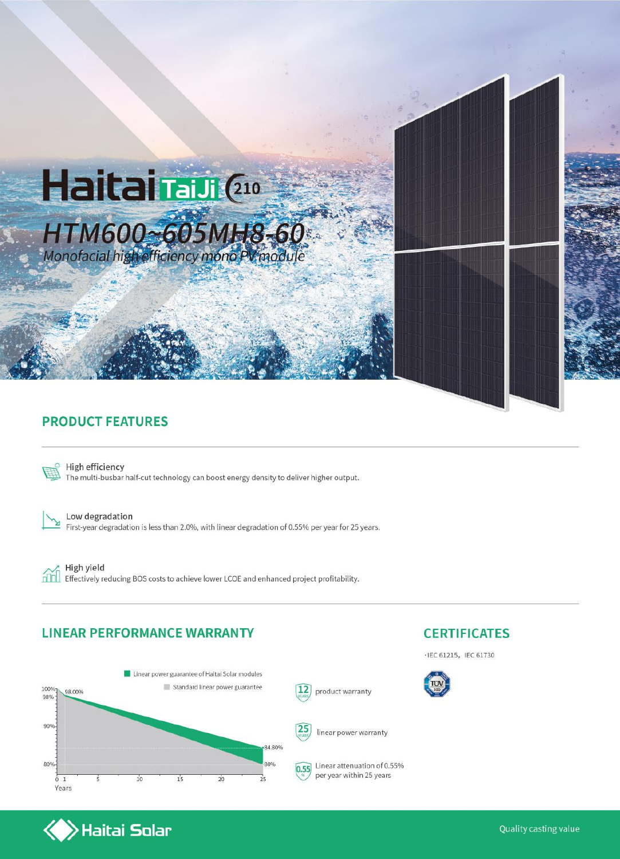

#### **PRODUCT FEATURES**



High efficiency The multi-busbar half-cut technology can boost energy density to deliver higher output.

⊻

Low degradation First-year degradation is less than 2.0%, with linear degradation of 0.55% per year for 25 years.

hm

High yield Effectively reducing BOS costs to achieve lower LCOE and enhanced project profitability.

#### **LINEAR PERFORMANCE WARRANTY**

 $\left\langle \right\rangle$ Haitai Solar



### **CERTIFICATES**

· IEC 61215, IEC 61730